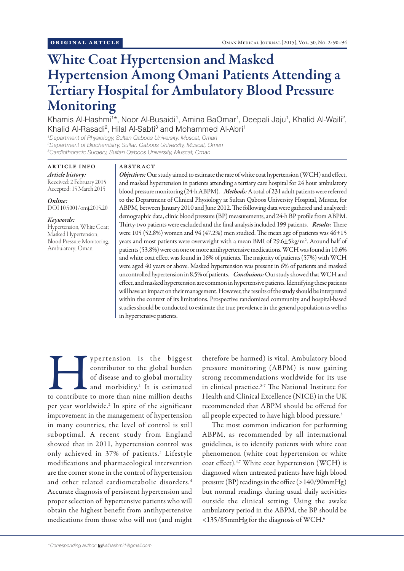# White Coat Hypertension and Masked Hypertension Among Omani Patients Attending a Tertiary Hospital for Ambulatory Blood Pressure Monitoring

Khamis Al-Hashmi<sup>1\*</sup>, Noor Al-Busaidi<sup>1</sup>, Amina BaOmar<sup>1</sup>, Deepali Jaju<sup>1</sup>, Khalid Al-Waili<sup>2</sup>, Khalid Al-Rasadi<sup>2</sup>, Hilal Al-Sabti<sup>3</sup> and Mohammed Al-Abri<sup>1</sup>

*1 Department of Physiology, Sultan Qaboos University, Muscat, Oman 2 Department of Biochemistry, Sultan Qaboos University, Muscat, Oman 3 Cardiothoracic Surgery, Sultan Qaboos University, Muscat, Oman*

## ARTICLE INFO *Article history:*

Received: 2 February 2015 Accepted: 15 March 2015

## *Online:*

DOI 10.5001/omj.2015.20

# *Keywords:*

Hypertension, White Coat; Masked Hypertension; Blood Pressure Monitoring, Ambulatory; Oman.

# ABSTRACT

*Objectives:* Our study aimed to estimate the rate of white coat hypertension (WCH) and effect, and masked hypertension in patients attending a tertiary care hospital for 24 hour ambulatory blood pressure monitoring (24-h ABPM). *Methods:* A total of 231 adult patients were referred to the Department of Clinical Physiology at Sultan Qaboos University Hospital, Muscat, for ABPM, between January 2010 and June 2012. The following data were gathered and analyzed: demographic data, clinic blood pressure (BP) measurements, and 24-h BP profile from ABPM. Thirty-two patients were excluded and the final analysis included 199 patients. *Results:* There were 105 (52.8%) women and 94 (47.2%) men studied. The mean age of patients was 46±15 years and most patients were overweight with a mean BMI of 29.6±5kg/m<sup>2</sup>. Around half of patients (53.8%) were on one or more antihypertensive medications. WCH was found in 10.6% and white coat effect was found in 16% of patients. The majority of patients (57%) with WCH were aged 40 years or above. Masked hypertension was present in 6% of patients and masked uncontrolled hypertension in 8.5% of patients. *Conclusions:* Our study showed that WCH and effect, and masked hypertension are common in hypertensive patients. Identifying these patients will have an impact on their management. However, the results of the study should be interpreted within the context of its limitations. Prospective randomized community and hospital-based studies should be conducted to estimate the true prevalence in the general population as well as in hypertensive patients.

Supertension is the biggest contributor to the global burden of disease and to global mortality and morbidity.<sup>1</sup> It is estimated to contribute to more than nine million deaths contributor to the global burden of disease and to global mortality and morbidity.<sup>1</sup> It is estimated per year worldwide.<sup>2</sup> In spite of the significant improvement in the management of hypertension in many countries, the level of control is still suboptimal. A recent study from England showed that in 2011, hypertension control was only achieved in 37% of patients.<sup>3</sup> Lifestyle modifications and pharmacological intervention are the corner stone in the control of hypertension and other related cardiometabolic disorders.<sup>4</sup> Accurate diagnosis of persistent hypertension and proper selection of hypertensive patients who will obtain the highest benefit from antihypertensive medications from those who will not (and might

therefore be harmed) is vital. Ambulatory blood pressure monitoring (ABPM) is now gaining strong recommendations worldwide for its use in clinical practice.5-7 The National Institute for Health and Clinical Excellence (NICE) in the UK recommended that ABPM should be offered for all people expected to have high blood pressure.<sup>8</sup>

The most common indication for performing ABPM, as recommended by all international guidelines, is to identify patients with white coat phenomenon (white coat hypertension or white coat effect).4,7 White coat hypertension (WCH) is diagnosed when untreated patients have high blood pressure (BP) readings in the office (>140/90mmHg) but normal readings during usual daily activities outside the clinical setting. Using the awake ambulatory period in the ABPM, the BP should be <135/85mmHg for the diagnosis of WCH.<sup>6</sup>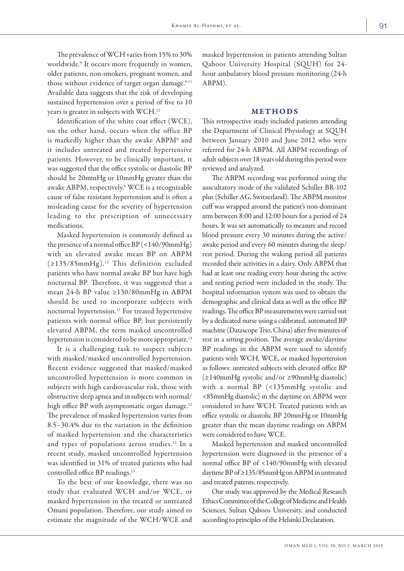The prevalence of WCH varies from 15% to 30% worldwide.<sup>9</sup> It occurs more frequently in women, older patients, non-smokers, pregnant women, and those without evidence of target organ damage.<sup>9-11</sup> Available data suggests that the risk of developing sustained hypertension over a period of five to 10 years is greater in subjects with WCH.<sup>12</sup>

Identification of the white coat effect (WCE), on the other hand, occurs when the office BP is markedly higher than the awake ABPM<sup>6</sup> and it includes untreated and treated hypertensive patients. However, to be clinically important, it was suggested that the office systolic or diastolic BP should be 20mmHg or 10mmHg greater than the awake ABPM, respectively.<sup>6</sup> WCE is a recognizable cause of false resistant hypertension and is often a misleading cause for the severity of hypertension leading to the prescription of unnecessary medications.

Masked hypertension is commonly defined as the presence of a normal office  $BP$  (<140/90mmHg) with an elevated awake mean BP on ABPM  $(≥135/85mmHg).<sup>13</sup>$  This definition excluded patients who have normal awake BP but have high nocturnal BP. Therefore, it was suggested that a mean 24-h BP value ≥130/80mmHg in ABPM should be used to incorporate subjects with nocturnal hypertension.13 For treated hypertensive patients with normal office BP, but persistently elevated ABPM, the term masked uncontrolled hypertension is considered to be more appropriate.<sup>13</sup>

It is a challenging task to suspect subjects with masked/masked uncontrolled hypertension. Recent evidence suggested that masked/masked uncontrolled hypertension is more common in subjects with high cardiovascular risk, those with obstructive sleep apnea and in subjects with normal/ high office BP with asymptomatic organ damage.<sup>12</sup> The prevalence of masked hypertension varies from 8.5–30.4% due to the variation in the definition of masked hypertension and the characteristics and types of populations across studies.12 In a recent study, masked uncontrolled hypertension was identified in 31% of treated patients who had controlled office BP readings.<sup>13</sup>

To the best of our knowledge, there was no study that evaluated WCH and/or WCE, or masked hypertension in the treated or untreated Omani population. Therefore, our study aimed to estimate the magnitude of the WCH/WCE and masked hypertension in patients attending Sultan Qaboos University Hospital (SQUH) for 24 hour ambulatory blood pressure monitoring (24-h ABPM).

## METHODS

This retrospective study included patients attending the Department of Clinical Physiology at SQUH between January 2010 and June 2012 who were referred for 24-h ABPM. All ABPM recordings of adult subjects over 18 years old during this period were reviewed and analyzed.

The ABPM recording was performed using the auscultatory mode of the validated Schiller BR-102 plus (Schiller AG, Switzerland). The ABPM monitor cuff was wrapped around the patient's non-dominant arm between 8:00 and 12:00 hours for a period of 24 hours. It was set automatically to measure and record blood pressure every 30 minutes during the active/ awake period and every 60 minutes during the sleep/ rest period. During the waking period all patients recorded their activities in a dairy. Only ABPM that had at least one reading every hour during the active and resting period were included in the study. The hospital information system was used to obtain the demographic and clinical data as well as the office BP readings. The office BP measurements were carried out by a dedicated nurse using a calibrated, automated BP machine (Datascope Trio, China) after five minutes of rest in a sitting position. The average awake/daytime BP readings in the ABPM were used to identify patients with WCH, WCE, or masked hypertension as follows: untreated subjects with elevated office BP (≥140mmHg systolic and/or ≥90mmHg diastolic) with a normal BP (<135mmHg systolic and <85mmHg diastolic) in the daytime on ABPM were considered to have WCH. Treated patients with an office systolic or diastolic BP 20mmHg or 10mmHg greater than the mean daytime readings on ABPM were considered to have WCE.

Masked hypertension and masked uncontrolled hypertension were diagnosed in the presence of a normal office BP of <140/90mmHg with elevated daytime BP of ≥135/85mmHg on ABPM in untreated and treated patents, respectively.

Our study was approved by the Medical Research Ethics Committee of the College of Medicine and Health Sciences, Sultan Qaboos University, and conducted according to principles of the Helsinki Declaration.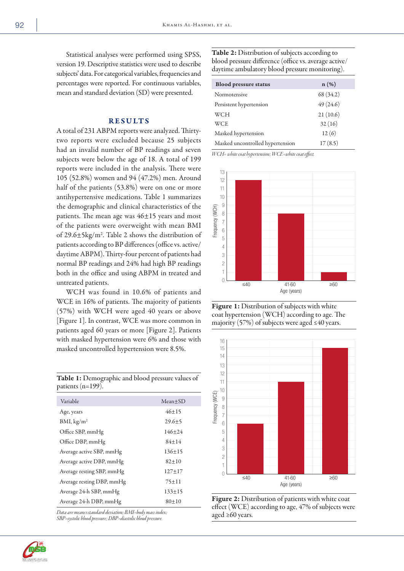Statistical analyses were performed using SPSS, version 19. Descriptive statistics were used to describe subjects' data. For categorical variables, frequencies and percentages were reported. For continuous variables, mean and standard deviation (SD) were presented.

## RESULTS

A total of 231 ABPM reports were analyzed. Thirtytwo reports were excluded because 25 subjects had an invalid number of BP readings and seven subjects were below the age of 18. A total of 199 reports were included in the analysis. There were 105 (52.8%) women and 94 (47.2%) men. Around half of the patients (53.8%) were on one or more antihypertensive medications. Table 1 summarizes the demographic and clinical characteristics of the patients. The mean age was  $46\pm15$  years and most of the patients were overweight with mean BMI of 29.6±5kg/m2 . Table 2 shows the distribution of patients according to BP differences (office vs. active/ daytime ABPM). Thirty-four percent of patients had normal BP readings and 24% had high BP readings both in the office and using ABPM in treated and untreated patients.

WCH was found in 10.6% of patients and WCE in 16% of patients. The majority of patients (57%) with WCH were aged 40 years or above [Figure 1]. In contrast, WCE was more common in patients aged 60 years or more [Figure 2]. Patients with masked hypertension were 6% and those with masked uncontrolled hypertension were 8.5%.

patients (n=199). Variable Mean±SD Age, years  $46\pm15$ BMI,  $\text{kg/m}^2$  29.6 $\pm$ 5 Office SBP, mmHg 146±24 Office DBP, mmHg  $84\pm14$ Average active SBP, mmHg 136±15 Average active DBP, mmHg 82±10

Table 1: Demographic and blood pressure values of

Average resting SBP, mmHg 127±17 Average resting DBP, mmHg 75±11 Average 24-h SBP, mmHg 133±15 Average 24-h DBP, mmHg  $80 \pm 10$ 

*Data are means±standard deviation; BMI=body mass index; SBP=systolic blood pressure; DBP=diastolic blood pressure.*

Table 2: Distribution of subjects according to blood pressure difference (office vs. average active/ daytime ambulatory blood pressure monitoring).

| <b>Blood pressure status</b>     | $n(\%)$   |
|----------------------------------|-----------|
| Normotensive                     | 68 (34.2) |
| Persistent hypertension          | 49(24.6)  |
| WCH                              | 21(10.6)  |
| <b>WCE</b>                       | 32(16)    |
| Masked hypertension              | 12(6)     |
| Masked uncontrolled hypertension | 17(8.5)   |

*WCH= white coat hypertension; WCE=white coat effect.*



Figure 1: Distribution of subjects with white coat hypertension (WCH) according to age. The majority (57%) of subjects were aged  $\leq 40$  years.





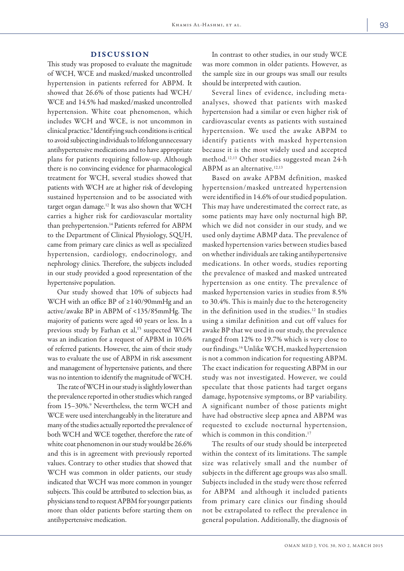## DISCUSSION

This study was proposed to evaluate the magnitude of WCH, WCE and masked/masked uncontrolled hypertension in patients referred for ABPM. It showed that 26.6% of those patients had WCH/ WCE and 14.5% had masked/masked uncontrolled hypertension. White coat phenomenon, which includes WCH and WCE, is not uncommon in clinical practice.<sup>9</sup> Identifying such conditions is critical to avoid subjecting individuals to lifelong unnecessary antihypertensive medications and to have appropriate plans for patients requiring follow-up. Although there is no convincing evidence for pharmacological treatment for WCH, several studies showed that patients with WCH are at higher risk of developing sustained hypertension and to be associated with target organ damage.12 It was also shown that WCH carries a higher risk for cardiovascular mortality than prehypertension.<sup>14</sup> Patients referred for ABPM to the Department of Clinical Physiology, SQUH, came from primary care clinics as well as specialized hypertension, cardiology, endocrinology, and nephrology clinics. Therefore, the subjects included in our study provided a good representation of the hypertensive population.

Our study showed that 10% of subjects had WCH with an office BP of ≥140/90mmHg and an active/awake BP in ABPM of <135/85mmHg. The majority of patients were aged 40 years or less. In a previous study by Farhan et al,<sup>15</sup> suspected WCH was an indication for a request of APBM in 10.6% of referred patients. However, the aim of their study was to evaluate the use of ABPM in risk assessment and management of hypertensive patients, and there was no intention to identify the magnitude of WCH.

The rate of WCH in our study is slightly lower than the prevalence reported in other studies which ranged from 15-30%.<sup>9</sup> Nevertheless, the term WCH and WCE were used interchangeably in the literature and many of the studies actually reported the prevalence of both WCH and WCE together, therefore the rate of white coat phenomenon in our study would be 26.6% and this is in agreement with previously reported values. Contrary to other studies that showed that WCH was common in older patients, our study indicated that WCH was more common in younger subjects. This could be attributed to selection bias, as physicians tend to request APBM for younger patients more than older patients before starting them on antihypertensive medication.

In contrast to other studies, in our study WCE was more common in older patients. However, as the sample size in our groups was small our results should be interpreted with caution.

Several lines of evidence, including metaanalyses, showed that patients with masked hypertension had a similar or even higher risk of cardiovascular events as patients with sustained hypertension. We used the awake ABPM to identify patients with masked hypertension because it is the most widely used and accepted method.12,13 Other studies suggested mean 24-h ABPM as an alternative.<sup>12,13</sup>

Based on awake APBM definition, masked hypertension/masked untreated hypertension were identified in 14.6% of our studied population. This may have underestimated the correct rate, as some patients may have only nocturnal high BP, which we did not consider in our study, and we used only daytime ABMP data. The prevalence of masked hypertension varies between studies based on whether individuals are taking antihypertensive medications. In other words, studies reporting the prevalence of masked and masked untreated hypertension as one entity. The prevalence of masked hypertension varies in studies from 8.5% to 30.4%. This is mainly due to the heterogeneity in the definition used in the studies.12 In studies using a similar definition and cut off values for awake BP that we used in our study, the prevalence ranged from 12% to 19.7% which is very close to our findings.16 Unlike WCH, masked hypertension is not a common indication for requesting ABPM. The exact indication for requesting ABPM in our study was not investigated. However, we could speculate that those patients had target organs damage, hypotensive symptoms, or BP variability. A significant number of those patients might have had obstructive sleep apnea and ABPM was requested to exclude nocturnal hypertension, which is common in this condition.<sup>17</sup>

The results of our study should be interpreted within the context of its limitations. The sample size was relatively small and the number of subjects in the different age groups was also small. Subjects included in the study were those referred for ABPM and although it included patients from primary care clinics our finding should not be extrapolated to reflect the prevalence in general population. Additionally, the diagnosis of